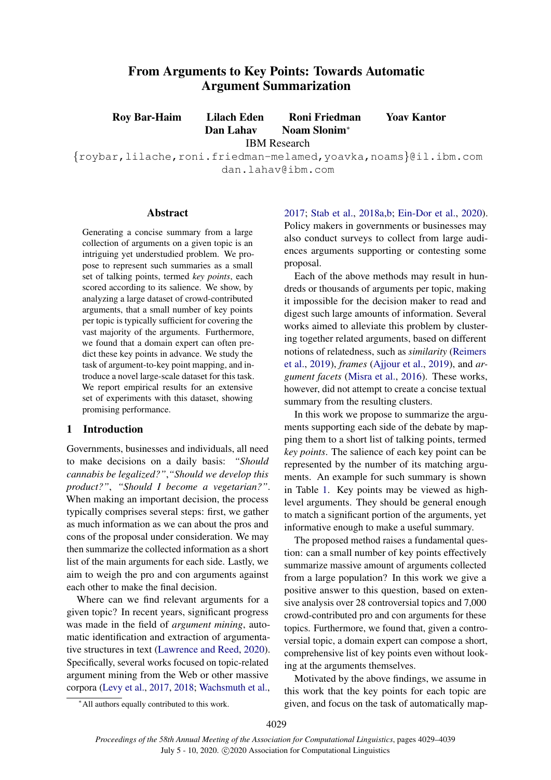# From Arguments to Key Points: Towards Automatic Argument Summarization

Roy Bar-Haim Lilach Eden Roni Friedman Yoav Kantor

Dan Lahav Noam Slonim<sup>∗</sup> IBM Research

{roybar,lilache,roni.friedman-melamed,yoavka,noams}@il.ibm.com dan.lahav@ibm.com

### Abstract

Generating a concise summary from a large collection of arguments on a given topic is an intriguing yet understudied problem. We propose to represent such summaries as a small set of talking points, termed *key points*, each scored according to its salience. We show, by analyzing a large dataset of crowd-contributed arguments, that a small number of key points per topic is typically sufficient for covering the vast majority of the arguments. Furthermore, we found that a domain expert can often predict these key points in advance. We study the task of argument-to-key point mapping, and introduce a novel large-scale dataset for this task. We report empirical results for an extensive set of experiments with this dataset, showing promising performance.

### 1 Introduction

Governments, businesses and individuals, all need to make decisions on a daily basis: *"Should cannabis be legalized?"*,*"Should we develop this product?"*, *"Should I become a vegetarian?"*. When making an important decision, the process typically comprises several steps: first, we gather as much information as we can about the pros and cons of the proposal under consideration. We may then summarize the collected information as a short list of the main arguments for each side. Lastly, we aim to weigh the pro and con arguments against each other to make the final decision.

Where can we find relevant arguments for a given topic? In recent years, significant progress was made in the field of *argument mining*, automatic identification and extraction of argumentative structures in text [\(Lawrence and Reed,](#page-9-0) [2020\)](#page-9-0). Specifically, several works focused on topic-related argument mining from the Web or other massive corpora [\(Levy et al.,](#page-9-1) [2017,](#page-9-1) [2018;](#page-9-2) [Wachsmuth et al.,](#page-10-0)

[2017;](#page-10-0) [Stab et al.,](#page-10-1) [2018a](#page-10-1)[,b;](#page-10-2) [Ein-Dor et al.,](#page-9-3) [2020\)](#page-9-3). Policy makers in governments or businesses may also conduct surveys to collect from large audiences arguments supporting or contesting some proposal.

Each of the above methods may result in hundreds or thousands of arguments per topic, making it impossible for the decision maker to read and digest such large amounts of information. Several works aimed to alleviate this problem by clustering together related arguments, based on different notions of relatedness, such as *similarity* [\(Reimers](#page-10-3) [et al.,](#page-10-3) [2019\)](#page-10-3), *frames* [\(Ajjour et al.,](#page-8-0) [2019\)](#page-8-0), and *argument facets* [\(Misra et al.,](#page-9-4) [2016\)](#page-9-4). These works, however, did not attempt to create a concise textual summary from the resulting clusters.

In this work we propose to summarize the arguments supporting each side of the debate by mapping them to a short list of talking points, termed *key points*. The salience of each key point can be represented by the number of its matching arguments. An example for such summary is shown in Table [1.](#page-1-0) Key points may be viewed as highlevel arguments. They should be general enough to match a significant portion of the arguments, yet informative enough to make a useful summary.

The proposed method raises a fundamental question: can a small number of key points effectively summarize massive amount of arguments collected from a large population? In this work we give a positive answer to this question, based on extensive analysis over 28 controversial topics and 7,000 crowd-contributed pro and con arguments for these topics. Furthermore, we found that, given a controversial topic, a domain expert can compose a short, comprehensive list of key points even without looking at the arguments themselves.

Motivated by the above findings, we assume in this work that the key points for each topic are given, and focus on the task of automatically map-

<sup>∗</sup>All authors equally contributed to this work.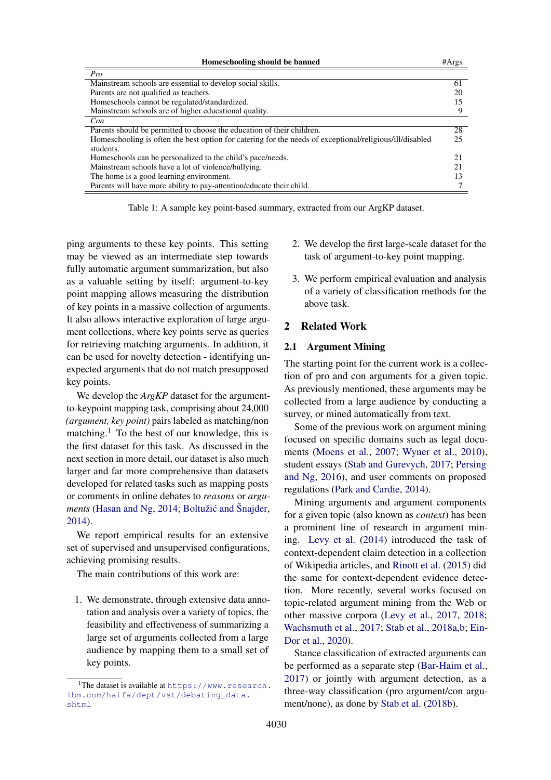<span id="page-1-0"></span>

| Homeschooling should be banned                                                                          | #Args |
|---------------------------------------------------------------------------------------------------------|-------|
| Pro                                                                                                     |       |
| Mainstream schools are essential to develop social skills.                                              | 61    |
| Parents are not qualified as teachers.                                                                  | 20    |
| Homeschools cannot be regulated/standardized.                                                           | 15    |
| Mainstream schools are of higher educational quality.                                                   | 9     |
| Con                                                                                                     |       |
| Parents should be permitted to choose the education of their children.                                  | 28    |
| Homeschooling is often the best option for catering for the needs of exceptional/religious/ill/disabled | 25    |
| students.                                                                                               |       |
| Homeschools can be personalized to the child's pace/needs.                                              | 21    |
| Mainstream schools have a lot of violence/bullying.                                                     | 21    |
| The home is a good learning environment.                                                                |       |
| Parents will have more ability to pay-attention/educate their child.                                    |       |

Table 1: A sample key point-based summary, extracted from our ArgKP dataset.

ping arguments to these key points. This setting may be viewed as an intermediate step towards fully automatic argument summarization, but also as a valuable setting by itself: argument-to-key point mapping allows measuring the distribution of key points in a massive collection of arguments. It also allows interactive exploration of large argument collections, where key points serve as queries for retrieving matching arguments. In addition, it can be used for novelty detection - identifying unexpected arguments that do not match presupposed key points.

We develop the *ArgKP* dataset for the argumentto-keypoint mapping task, comprising about 24,000 *(argument, key point)* pairs labeled as matching/non matching.<sup>[1](#page-1-1)</sup> To the best of our knowledge, this is the first dataset for this task. As discussed in the next section in more detail, our dataset is also much larger and far more comprehensive than datasets developed for related tasks such as mapping posts or comments in online debates to *reasons* or *arguments* [\(Hasan and Ng,](#page-9-5) [2014;](#page-9-5) Boltužić and Šnajder, [2014\)](#page-9-6).

We report empirical results for an extensive set of supervised and unsupervised configurations, achieving promising results.

The main contributions of this work are:

1. We demonstrate, through extensive data annotation and analysis over a variety of topics, the feasibility and effectiveness of summarizing a large set of arguments collected from a large audience by mapping them to a small set of key points.

- 2. We develop the first large-scale dataset for the task of argument-to-key point mapping.
- 3. We perform empirical evaluation and analysis of a variety of classification methods for the above task.

### 2 Related Work

#### 2.1 Argument Mining

The starting point for the current work is a collection of pro and con arguments for a given topic. As previously mentioned, these arguments may be collected from a large audience by conducting a survey, or mined automatically from text.

Some of the previous work on argument mining focused on specific domains such as legal documents [\(Moens et al.,](#page-9-7) [2007;](#page-9-7) [Wyner et al.,](#page-10-4) [2010\)](#page-10-4), student essays [\(Stab and Gurevych,](#page-10-5) [2017;](#page-10-5) [Persing](#page-10-6) [and Ng,](#page-10-6) [2016\)](#page-10-6), and user comments on proposed regulations [\(Park and Cardie,](#page-10-7) [2014\)](#page-10-7).

Mining arguments and argument components for a given topic (also known as *context*) has been a prominent line of research in argument mining. [Levy et al.](#page-9-8) [\(2014\)](#page-9-8) introduced the task of context-dependent claim detection in a collection of Wikipedia articles, and [Rinott et al.](#page-10-8) [\(2015\)](#page-10-8) did the same for context-dependent evidence detection. More recently, several works focused on topic-related argument mining from the Web or other massive corpora [\(Levy et al.,](#page-9-1) [2017,](#page-9-1) [2018;](#page-9-2) [Wachsmuth et al.,](#page-10-0) [2017;](#page-10-0) [Stab et al.,](#page-10-1) [2018a,](#page-10-1)[b;](#page-10-2) [Ein-](#page-9-3)[Dor et al.,](#page-9-3) [2020\)](#page-9-3).

Stance classification of extracted arguments can be performed as a separate step [\(Bar-Haim et al.,](#page-8-1) [2017\)](#page-8-1) or jointly with argument detection, as a three-way classification (pro argument/con argument/none), as done by [Stab et al.](#page-10-2) [\(2018b\)](#page-10-2).

<span id="page-1-1"></span><sup>&</sup>lt;sup>1</sup>The dataset is available at [https://www.research.](https://www.research.ibm.com/haifa/dept/vst/debating_data.shtml) [ibm.com/haifa/dept/vst/debating\\_data.](https://www.research.ibm.com/haifa/dept/vst/debating_data.shtml) [shtml](https://www.research.ibm.com/haifa/dept/vst/debating_data.shtml)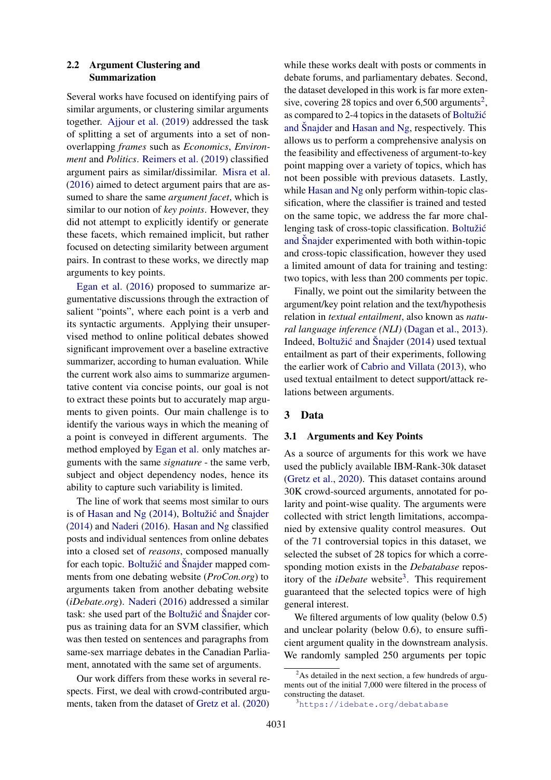### <span id="page-2-3"></span>2.2 Argument Clustering and Summarization

Several works have focused on identifying pairs of similar arguments, or clustering similar arguments together. [Ajjour et al.](#page-8-0) [\(2019\)](#page-8-0) addressed the task of splitting a set of arguments into a set of nonoverlapping *frames* such as *Economics*, *Environment* and *Politics*. [Reimers et al.](#page-10-3) [\(2019\)](#page-10-3) classified argument pairs as similar/dissimilar. [Misra et al.](#page-9-4) [\(2016\)](#page-9-4) aimed to detect argument pairs that are assumed to share the same *argument facet*, which is similar to our notion of *key points*. However, they did not attempt to explicitly identify or generate these facets, which remained implicit, but rather focused on detecting similarity between argument pairs. In contrast to these works, we directly map arguments to key points.

[Egan et al.](#page-9-9) [\(2016\)](#page-9-9) proposed to summarize argumentative discussions through the extraction of salient "points", where each point is a verb and its syntactic arguments. Applying their unsupervised method to online political debates showed significant improvement over a baseline extractive summarizer, according to human evaluation. While the current work also aims to summarize argumentative content via concise points, our goal is not to extract these points but to accurately map arguments to given points. Our main challenge is to identify the various ways in which the meaning of a point is conveyed in different arguments. The method employed by [Egan et al.](#page-9-9) only matches arguments with the same *signature* - the same verb, subject and object dependency nodes, hence its ability to capture such variability is limited.

The line of work that seems most similar to ours is of [Hasan and Ng](#page-9-5)  $(2014)$ , Boltužić and Šnajder [\(2014\)](#page-9-6) and [Naderi](#page-9-10) [\(2016\)](#page-9-10). [Hasan and Ng](#page-9-5) classified posts and individual sentences from online debates into a closed set of *reasons*, composed manually for each topic. Boltužić and [Snajder](#page-9-6) mapped comments from one debating website (*ProCon.org*) to arguments taken from another debating website (*iDebate.org*). [Naderi](#page-9-10) [\(2016\)](#page-9-10) addressed a similar task: she used part of the Boltužić and Šnajder corpus as training data for an SVM classifier, which was then tested on sentences and paragraphs from same-sex marriage debates in the Canadian Parliament, annotated with the same set of arguments.

Our work differs from these works in several respects. First, we deal with crowd-contributed arguments, taken from the dataset of [Gretz et al.](#page-9-11) [\(2020\)](#page-9-11)

while these works dealt with posts or comments in debate forums, and parliamentary debates. Second, the dataset developed in this work is far more exten-sive, covering [2](#page-2-0)8 topics and over  $6,500$  arguments<sup>2</sup>, as compared to 2-4 topics in the datasets of Boltužić and Šnajder and [Hasan and Ng,](#page-9-5) respectively. This allows us to perform a comprehensive analysis on the feasibility and effectiveness of argument-to-key point mapping over a variety of topics, which has not been possible with previous datasets. Lastly, while [Hasan and Ng](#page-9-5) only perform within-topic classification, where the classifier is trained and tested on the same topic, we address the far more challenging task of cross-topic classification. Boltužić and Šnajder experimented with both within-topic and cross-topic classification, however they used a limited amount of data for training and testing: two topics, with less than 200 comments per topic.

Finally, we point out the similarity between the argument/key point relation and the text/hypothesis relation in *textual entailment*, also known as *natural language inference (NLI)* [\(Dagan et al.,](#page-9-12) [2013\)](#page-9-12). Indeed, Boltužić and Šnajder [\(2014\)](#page-9-6) used textual entailment as part of their experiments, following the earlier work of [Cabrio and Villata](#page-9-13) [\(2013\)](#page-9-13), who used textual entailment to detect support/attack relations between arguments.

### 3 Data

#### <span id="page-2-2"></span>3.1 Arguments and Key Points

As a source of arguments for this work we have used the publicly available IBM-Rank-30k dataset [\(Gretz et al.,](#page-9-11) [2020\)](#page-9-11). This dataset contains around 30K crowd-sourced arguments, annotated for polarity and point-wise quality. The arguments were collected with strict length limitations, accompanied by extensive quality control measures. Out of the 71 controversial topics in this dataset, we selected the subset of 28 topics for which a corresponding motion exists in the *Debatabase* repository of the *iDebate* website<sup>[3](#page-2-1)</sup>. This requirement guaranteed that the selected topics were of high general interest.

We filtered arguments of low quality (below 0.5) and unclear polarity (below 0.6), to ensure sufficient argument quality in the downstream analysis. We randomly sampled 250 arguments per topic

<span id="page-2-0"></span> $2$ As detailed in the next section, a few hundreds of arguments out of the initial 7,000 were filtered in the process of constructing the dataset.

<span id="page-2-1"></span><sup>3</sup><https://idebate.org/debatabase>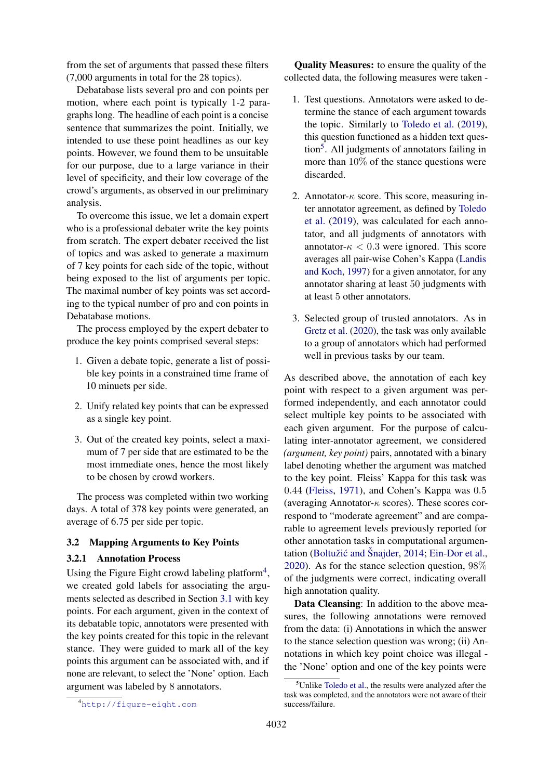from the set of arguments that passed these filters (7,000 arguments in total for the 28 topics).

Debatabase lists several pro and con points per motion, where each point is typically 1-2 paragraphs long. The headline of each point is a concise sentence that summarizes the point. Initially, we intended to use these point headlines as our key points. However, we found them to be unsuitable for our purpose, due to a large variance in their level of specificity, and their low coverage of the crowd's arguments, as observed in our preliminary analysis.

To overcome this issue, we let a domain expert who is a professional debater write the key points from scratch. The expert debater received the list of topics and was asked to generate a maximum of 7 key points for each side of the topic, without being exposed to the list of arguments per topic. The maximal number of key points was set according to the typical number of pro and con points in Debatabase motions.

The process employed by the expert debater to produce the key points comprised several steps:

- 1. Given a debate topic, generate a list of possible key points in a constrained time frame of 10 minuets per side.
- 2. Unify related key points that can be expressed as a single key point.
- 3. Out of the created key points, select a maximum of 7 per side that are estimated to be the most immediate ones, hence the most likely to be chosen by crowd workers.

The process was completed within two working days. A total of 378 key points were generated, an average of 6.75 per side per topic.

### 3.2 Mapping Arguments to Key Points

#### 3.2.1 Annotation Process

Using the Figure Eight crowd labeling platform<sup>[4](#page-3-0)</sup>, we created gold labels for associating the arguments selected as described in Section [3.1](#page-2-2) with key points. For each argument, given in the context of its debatable topic, annotators were presented with the key points created for this topic in the relevant stance. They were guided to mark all of the key points this argument can be associated with, and if none are relevant, to select the 'None' option. Each argument was labeled by 8 annotators.

Quality Measures: to ensure the quality of the collected data, the following measures were taken -

- 1. Test questions. Annotators were asked to determine the stance of each argument towards the topic. Similarly to [Toledo et al.](#page-10-9) [\(2019\)](#page-10-9), this question functioned as a hidden text ques-tion<sup>[5](#page-3-1)</sup>. All judgments of annotators failing in more than 10% of the stance questions were discarded.
- 2. Annotator- $\kappa$  score. This score, measuring inter annotator agreement, as defined by [Toledo](#page-10-9) [et al.](#page-10-9) [\(2019\)](#page-10-9), was calculated for each annotator, and all judgments of annotators with annotator- $\kappa < 0.3$  were ignored. This score averages all pair-wise Cohen's Kappa [\(Landis](#page-9-14) [and Koch,](#page-9-14) [1997\)](#page-9-14) for a given annotator, for any annotator sharing at least 50 judgments with at least 5 other annotators.
- 3. Selected group of trusted annotators. As in [Gretz et al.](#page-9-11) [\(2020\)](#page-9-11), the task was only available to a group of annotators which had performed well in previous tasks by our team.

As described above, the annotation of each key point with respect to a given argument was performed independently, and each annotator could select multiple key points to be associated with each given argument. For the purpose of calculating inter-annotator agreement, we considered *(argument, key point)* pairs, annotated with a binary label denoting whether the argument was matched to the key point. Fleiss' Kappa for this task was 0.44 [\(Fleiss,](#page-9-15) [1971\)](#page-9-15), and Cohen's Kappa was 0.5 (averaging Annotator- $\kappa$  scores). These scores correspond to "moderate agreement" and are comparable to agreement levels previously reported for other annotation tasks in computational argumen-tation (Boltužić and Šnajder, [2014;](#page-9-6) [Ein-Dor et al.,](#page-9-3) [2020\)](#page-9-3). As for the stance selection question, 98% of the judgments were correct, indicating overall high annotation quality.

Data Cleansing: In addition to the above measures, the following annotations were removed from the data: (i) Annotations in which the answer to the stance selection question was wrong; (ii) Annotations in which key point choice was illegal the 'None' option and one of the key points were

<span id="page-3-1"></span> $5$ Unlike [Toledo et al.,](#page-10-9) the results were analyzed after the task was completed, and the annotators were not aware of their success/failure.

<span id="page-3-0"></span><sup>4</sup><http://figure-eight.com>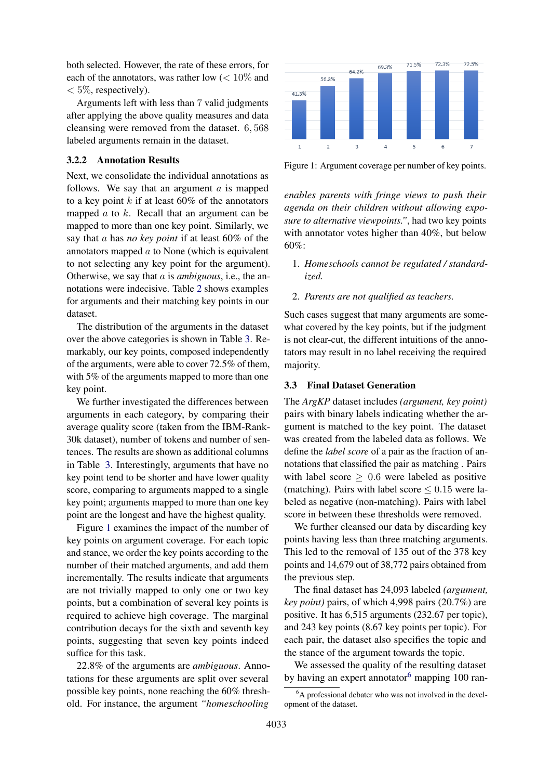both selected. However, the rate of these errors, for each of the annotators, was rather low  $\left($  < 10\% and  $< 5\%$ , respectively).

Arguments left with less than 7 valid judgments after applying the above quality measures and data cleansing were removed from the dataset. 6, 568 labeled arguments remain in the dataset.

### 3.2.2 Annotation Results

Next, we consolidate the individual annotations as follows. We say that an argument  $\alpha$  is mapped to a key point  $k$  if at least 60% of the annotators mapped  $a$  to  $k$ . Recall that an argument can be mapped to more than one key point. Similarly, we say that a has *no key point* if at least 60% of the annotators mapped a to None (which is equivalent to not selecting any key point for the argument). Otherwise, we say that a is *ambiguous*, i.e., the annotations were indecisive. Table [2](#page-5-0) shows examples for arguments and their matching key points in our dataset.

The distribution of the arguments in the dataset over the above categories is shown in Table [3.](#page-5-1) Remarkably, our key points, composed independently of the arguments, were able to cover 72.5% of them, with 5% of the arguments mapped to more than one key point.

We further investigated the differences between arguments in each category, by comparing their average quality score (taken from the IBM-Rank-30k dataset), number of tokens and number of sentences. The results are shown as additional columns in Table [3.](#page-5-1) Interestingly, arguments that have no key point tend to be shorter and have lower quality score, comparing to arguments mapped to a single key point; arguments mapped to more than one key point are the longest and have the highest quality.

Figure [1](#page-4-0) examines the impact of the number of key points on argument coverage. For each topic and stance, we order the key points according to the number of their matched arguments, and add them incrementally. The results indicate that arguments are not trivially mapped to only one or two key points, but a combination of several key points is required to achieve high coverage. The marginal contribution decays for the sixth and seventh key points, suggesting that seven key points indeed suffice for this task.

22.8% of the arguments are *ambiguous*. Annotations for these arguments are split over several possible key points, none reaching the 60% threshold. For instance, the argument *"homeschooling*

<span id="page-4-0"></span>

Figure 1: Argument coverage per number of key points.

*enables parents with fringe views to push their agenda on their children without allowing exposure to alternative viewpoints."*, had two key points with annotator votes higher than 40%, but below 60%:

- 1. *Homeschools cannot be regulated / standardized.*
- 2. *Parents are not qualified as teachers.*

Such cases suggest that many arguments are somewhat covered by the key points, but if the judgment is not clear-cut, the different intuitions of the annotators may result in no label receiving the required majority.

#### 3.3 Final Dataset Generation

The *ArgKP* dataset includes *(argument, key point)* pairs with binary labels indicating whether the argument is matched to the key point. The dataset was created from the labeled data as follows. We define the *label score* of a pair as the fraction of annotations that classified the pair as matching . Pairs with label score  $\geq 0.6$  were labeled as positive (matching). Pairs with label score  $\leq 0.15$  were labeled as negative (non-matching). Pairs with label score in between these thresholds were removed.

We further cleansed our data by discarding key points having less than three matching arguments. This led to the removal of 135 out of the 378 key points and 14,679 out of 38,772 pairs obtained from the previous step.

The final dataset has 24,093 labeled *(argument, key point)* pairs, of which 4,998 pairs (20.7%) are positive. It has 6,515 arguments (232.67 per topic), and 243 key points (8.67 key points per topic). For each pair, the dataset also specifies the topic and the stance of the argument towards the topic.

We assessed the quality of the resulting dataset by having an expert annotator<sup>[6](#page-4-1)</sup> mapping 100 ran-

<span id="page-4-1"></span><sup>&</sup>lt;sup>6</sup>A professional debater who was not involved in the development of the dataset.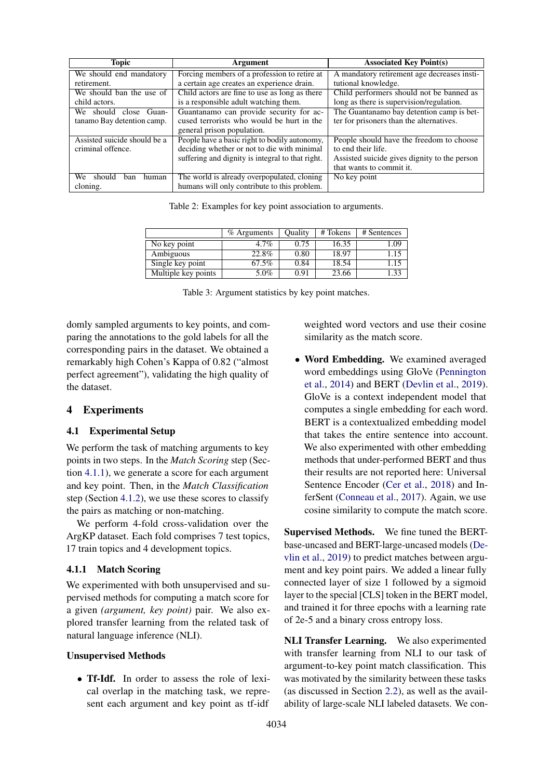<span id="page-5-0"></span>

| <b>Topic</b>                 | Argument                                         | <b>Associated Key Point(s)</b>               |  |  |  |
|------------------------------|--------------------------------------------------|----------------------------------------------|--|--|--|
| We should end mandatory      | Forcing members of a profession to retire at     | A mandatory retirement age decreases insti-  |  |  |  |
| retirement.                  | a certain age creates an experience drain.       | tutional knowledge.                          |  |  |  |
| We should ban the use of     | Child actors are fine to use as long as there    | Child performers should not be banned as     |  |  |  |
| child actors.                | is a responsible adult watching them.            | long as there is supervision/regulation.     |  |  |  |
| We should close Guan-        | Guantanamo can provide security for ac-          | The Guantanamo bay detention camp is bet-    |  |  |  |
| tanamo Bay detention camp.   | cused terrorists who would be hurt in the        | ter for prisoners than the alternatives.     |  |  |  |
|                              | general prison population.                       |                                              |  |  |  |
| Assisted suicide should be a | People have a basic right to bodily autonomy,    | People should have the freedom to choose     |  |  |  |
| criminal offence.            | deciding whether or not to die with minimal      | to end their life.                           |  |  |  |
|                              | suffering and dignity is integral to that right. | Assisted suicide gives dignity to the person |  |  |  |
|                              |                                                  | that wants to commit it.                     |  |  |  |
| should<br>We<br>human<br>ban | The world is already overpopulated, cloning      | No key point                                 |  |  |  |
| cloning.                     | humans will only contribute to this problem.     |                                              |  |  |  |

Table 2: Examples for key point association to arguments.

<span id="page-5-1"></span>

|                     | $%$ Arguments | <b>Ouality</b> | # Tokens | # Sentences |
|---------------------|---------------|----------------|----------|-------------|
| No key point        | $4.7\%$       | 0.75           | 16.35    | 1.09        |
| Ambiguous           | 22.8%         | 0.80           | 18.97    | 1.15        |
| Single key point    | 67.5%         | 0.84           | 18.54    | 1.15        |
| Multiple key points | 5.0%          | 0.91           | 23.66    |             |

Table 3: Argument statistics by key point matches.

domly sampled arguments to key points, and comparing the annotations to the gold labels for all the corresponding pairs in the dataset. We obtained a remarkably high Cohen's Kappa of 0.82 ("almost perfect agreement"), validating the high quality of the dataset.

### 4 Experiments

### 4.1 Experimental Setup

We perform the task of matching arguments to key points in two steps. In the *Match Scoring* step (Section [4.1.1\)](#page-5-2), we generate a score for each argument and key point. Then, in the *Match Classification* step (Section [4.1.2\)](#page-6-0), we use these scores to classify the pairs as matching or non-matching.

We perform 4-fold cross-validation over the ArgKP dataset. Each fold comprises 7 test topics, 17 train topics and 4 development topics.

#### <span id="page-5-2"></span>4.1.1 Match Scoring

We experimented with both unsupervised and supervised methods for computing a match score for a given *(argument, key point)* pair. We also explored transfer learning from the related task of natural language inference (NLI).

#### Unsupervised Methods

• Tf-Idf. In order to assess the role of lexical overlap in the matching task, we represent each argument and key point as tf-idf

weighted word vectors and use their cosine similarity as the match score.

• Word Embedding. We examined averaged word embeddings using GloVe [\(Pennington](#page-10-10) [et al.,](#page-10-10) [2014\)](#page-10-10) and BERT [\(Devlin et al.,](#page-9-16) [2019\)](#page-9-16). GloVe is a context independent model that computes a single embedding for each word. BERT is a contextualized embedding model that takes the entire sentence into account. We also experimented with other embedding methods that under-performed BERT and thus their results are not reported here: Universal Sentence Encoder [\(Cer et al.,](#page-9-17) [2018\)](#page-9-17) and InferSent [\(Conneau et al.,](#page-9-18) [2017\)](#page-9-18). Again, we use cosine similarity to compute the match score.

Supervised Methods. We fine tuned the BERTbase-uncased and BERT-large-uncased models [\(De](#page-9-16)[vlin et al.,](#page-9-16) [2019\)](#page-9-16) to predict matches between argument and key point pairs. We added a linear fully connected layer of size 1 followed by a sigmoid layer to the special [CLS] token in the BERT model, and trained it for three epochs with a learning rate of 2e-5 and a binary cross entropy loss.

NLI Transfer Learning. We also experimented with transfer learning from NLI to our task of argument-to-key point match classification. This was motivated by the similarity between these tasks (as discussed in Section [2.2\)](#page-2-3), as well as the availability of large-scale NLI labeled datasets. We con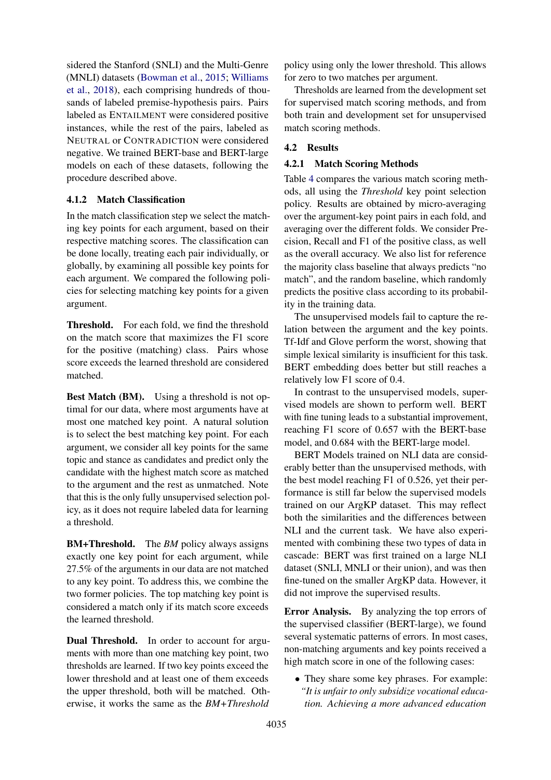sidered the Stanford (SNLI) and the Multi-Genre (MNLI) datasets [\(Bowman et al.,](#page-9-19) [2015;](#page-9-19) [Williams](#page-10-11) [et al.,](#page-10-11) [2018\)](#page-10-11), each comprising hundreds of thousands of labeled premise-hypothesis pairs. Pairs labeled as ENTAILMENT were considered positive instances, while the rest of the pairs, labeled as NEUTRAL or CONTRADICTION were considered negative. We trained BERT-base and BERT-large models on each of these datasets, following the procedure described above.

# <span id="page-6-0"></span>4.1.2 Match Classification

In the match classification step we select the matching key points for each argument, based on their respective matching scores. The classification can be done locally, treating each pair individually, or globally, by examining all possible key points for each argument. We compared the following policies for selecting matching key points for a given argument.

Threshold. For each fold, we find the threshold on the match score that maximizes the F1 score for the positive (matching) class. Pairs whose score exceeds the learned threshold are considered matched.

Best Match (BM). Using a threshold is not optimal for our data, where most arguments have at most one matched key point. A natural solution is to select the best matching key point. For each argument, we consider all key points for the same topic and stance as candidates and predict only the candidate with the highest match score as matched to the argument and the rest as unmatched. Note that this is the only fully unsupervised selection policy, as it does not require labeled data for learning a threshold.

**BM+Threshold.** The *BM* policy always assigns exactly one key point for each argument, while 27.5% of the arguments in our data are not matched to any key point. To address this, we combine the two former policies. The top matching key point is considered a match only if its match score exceeds the learned threshold.

Dual Threshold. In order to account for arguments with more than one matching key point, two thresholds are learned. If two key points exceed the lower threshold and at least one of them exceeds the upper threshold, both will be matched. Otherwise, it works the same as the *BM+Threshold*

policy using only the lower threshold. This allows for zero to two matches per argument.

Thresholds are learned from the development set for supervised match scoring methods, and from both train and development set for unsupervised match scoring methods.

# 4.2 Results

# 4.2.1 Match Scoring Methods

Table [4](#page-7-0) compares the various match scoring methods, all using the *Threshold* key point selection policy. Results are obtained by micro-averaging over the argument-key point pairs in each fold, and averaging over the different folds. We consider Precision, Recall and F1 of the positive class, as well as the overall accuracy. We also list for reference the majority class baseline that always predicts "no match", and the random baseline, which randomly predicts the positive class according to its probability in the training data.

The unsupervised models fail to capture the relation between the argument and the key points. Tf-Idf and Glove perform the worst, showing that simple lexical similarity is insufficient for this task. BERT embedding does better but still reaches a relatively low F1 score of 0.4.

In contrast to the unsupervised models, supervised models are shown to perform well. BERT with fine tuning leads to a substantial improvement, reaching F1 score of 0.657 with the BERT-base model, and 0.684 with the BERT-large model.

BERT Models trained on NLI data are considerably better than the unsupervised methods, with the best model reaching F1 of 0.526, yet their performance is still far below the supervised models trained on our ArgKP dataset. This may reflect both the similarities and the differences between NLI and the current task. We have also experimented with combining these two types of data in cascade: BERT was first trained on a large NLI dataset (SNLI, MNLI or their union), and was then fine-tuned on the smaller ArgKP data. However, it did not improve the supervised results.

Error Analysis. By analyzing the top errors of the supervised classifier (BERT-large), we found several systematic patterns of errors. In most cases, non-matching arguments and key points received a high match score in one of the following cases:

• They share some key phrases. For example: *"It is unfair to only subsidize vocational education. Achieving a more advanced education*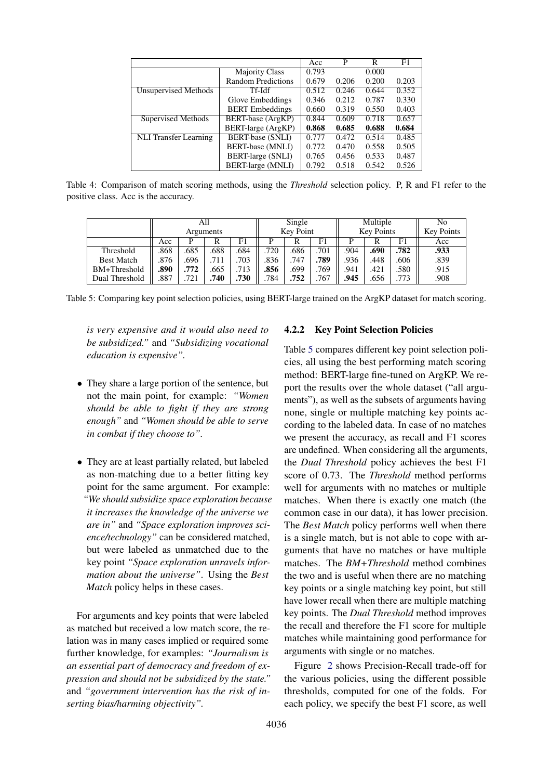<span id="page-7-0"></span>

|                              |                         | Acc   | P     | R     | F1    |
|------------------------------|-------------------------|-------|-------|-------|-------|
|                              | <b>Majority Class</b>   | 0.793 |       | 0.000 |       |
|                              | Random Predictions      | 0.679 | 0.206 | 0.200 | 0.203 |
| Unsupervised Methods         | Tf-Idf                  | 0.512 | 0.246 | 0.644 | 0.352 |
|                              | Glove Embeddings        | 0.346 | 0.212 | 0.787 | 0.330 |
|                              | <b>BERT</b> Embeddings  | 0.660 | 0.319 | 0.550 | 0.403 |
| Supervised Methods           | BERT-base (ArgKP)       | 0.844 | 0.609 | 0.718 | 0.657 |
|                              | BERT-large (ArgKP)      | 0.868 | 0.685 | 0.688 | 0.684 |
| <b>NLI</b> Transfer Learning | <b>BERT-base (SNLI)</b> | 0.777 | 0.472 | 0.514 | 0.485 |
|                              | <b>BERT-base (MNLI)</b> | 0.772 | 0.470 | 0.558 | 0.505 |
|                              | BERT-large (SNLI)       | 0.765 | 0.456 | 0.533 | 0.487 |
|                              | BERT-large (MNLI)       | 0.792 | 0.518 | 0.542 | 0.526 |

Table 4: Comparison of match scoring methods, using the *Threshold* selection policy. P, R and F1 refer to the positive class. Acc is the accuracy.

<span id="page-7-1"></span>

|                   | All       |      |      | Single    |      | Multiple          |      |      | No                |      |      |
|-------------------|-----------|------|------|-----------|------|-------------------|------|------|-------------------|------|------|
|                   | Arguments |      |      | Key Point |      | <b>Key Points</b> |      |      | <b>Key Points</b> |      |      |
|                   | Acc       | р    |      | F1        | D    |                   | F1   |      |                   | F1   | Acc  |
| Threshold         | 868       | .685 | .688 | .684      | .720 | .686              | .701 | .904 | .690              | .782 | .933 |
| <b>Best Match</b> | .876      | .696 | 711  | 703       | .836 | .747              | .789 | .936 | .448              | .606 | .839 |
| BM+Threshold      | .890      | .772 | .665 | .713      | .856 | .699              | .769 | .941 | .421              | .580 | .915 |
| Dual Threshold    | .887      | .721 | 740  | .730      | .784 | .752              | .767 | .945 | .656              | .773 | .908 |

Table 5: Comparing key point selection policies, using BERT-large trained on the ArgKP dataset for match scoring.

*is very expensive and it would also need to be subsidized."* and *"Subsidizing vocational education is expensive".*

- They share a large portion of the sentence, but not the main point, for example: *"Women should be able to fight if they are strong enough"* and *"Women should be able to serve in combat if they choose to".*
- They are at least partially related, but labeled as non-matching due to a better fitting key point for the same argument. For example: *"We should subsidize space exploration because it increases the knowledge of the universe we are in"* and *"Space exploration improves science/technology"* can be considered matched, but were labeled as unmatched due to the key point *"Space exploration unravels information about the universe"*. Using the *Best Match* policy helps in these cases.

For arguments and key points that were labeled as matched but received a low match score, the relation was in many cases implied or required some further knowledge, for examples: *"Journalism is an essential part of democracy and freedom of expression and should not be subsidized by the state."* and *"government intervention has the risk of inserting bias/harming objectivity".*

### 4.2.2 Key Point Selection Policies

Table [5](#page-7-1) compares different key point selection policies, all using the best performing match scoring method: BERT-large fine-tuned on ArgKP. We report the results over the whole dataset ("all arguments"), as well as the subsets of arguments having none, single or multiple matching key points according to the labeled data. In case of no matches we present the accuracy, as recall and F1 scores are undefined. When considering all the arguments, the *Dual Threshold* policy achieves the best F1 score of 0.73. The *Threshold* method performs well for arguments with no matches or multiple matches. When there is exactly one match (the common case in our data), it has lower precision. The *Best Match* policy performs well when there is a single match, but is not able to cope with arguments that have no matches or have multiple matches. The *BM+Threshold* method combines the two and is useful when there are no matching key points or a single matching key point, but still have lower recall when there are multiple matching key points. The *Dual Threshold* method improves the recall and therefore the F1 score for multiple matches while maintaining good performance for arguments with single or no matches.

Figure [2](#page-8-2) shows Precision-Recall trade-off for the various policies, using the different possible thresholds, computed for one of the folds. For each policy, we specify the best F1 score, as well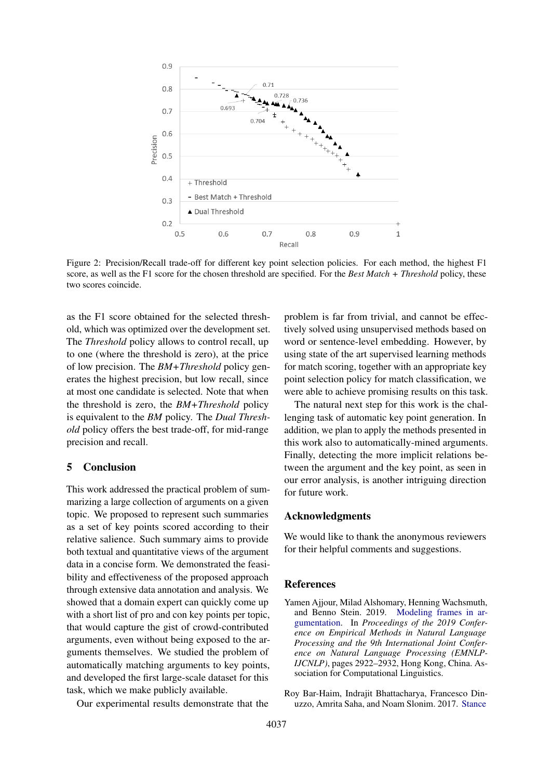<span id="page-8-2"></span>

Figure 2: Precision/Recall trade-off for different key point selection policies. For each method, the highest F1 score, as well as the F1 score for the chosen threshold are specified. For the *Best Match + Threshold* policy, these two scores coincide.

as the F1 score obtained for the selected threshold, which was optimized over the development set. The *Threshold* policy allows to control recall, up to one (where the threshold is zero), at the price of low precision. The *BM+Threshold* policy generates the highest precision, but low recall, since at most one candidate is selected. Note that when the threshold is zero, the *BM+Threshold* policy is equivalent to the *BM* policy. The *Dual Threshold* policy offers the best trade-off, for mid-range precision and recall.

### 5 Conclusion

This work addressed the practical problem of summarizing a large collection of arguments on a given topic. We proposed to represent such summaries as a set of key points scored according to their relative salience. Such summary aims to provide both textual and quantitative views of the argument data in a concise form. We demonstrated the feasibility and effectiveness of the proposed approach through extensive data annotation and analysis. We showed that a domain expert can quickly come up with a short list of pro and con key points per topic, that would capture the gist of crowd-contributed arguments, even without being exposed to the arguments themselves. We studied the problem of automatically matching arguments to key points, and developed the first large-scale dataset for this task, which we make publicly available.

Our experimental results demonstrate that the

problem is far from trivial, and cannot be effectively solved using unsupervised methods based on word or sentence-level embedding. However, by using state of the art supervised learning methods for match scoring, together with an appropriate key point selection policy for match classification, we were able to achieve promising results on this task.

The natural next step for this work is the challenging task of automatic key point generation. In addition, we plan to apply the methods presented in this work also to automatically-mined arguments. Finally, detecting the more implicit relations between the argument and the key point, as seen in our error analysis, is another intriguing direction for future work.

### Acknowledgments

We would like to thank the anonymous reviewers for their helpful comments and suggestions.

#### References

- <span id="page-8-0"></span>Yamen Ajjour, Milad Alshomary, Henning Wachsmuth, and Benno Stein. 2019. [Modeling frames in ar](https://doi.org/10.18653/v1/D19-1290)[gumentation.](https://doi.org/10.18653/v1/D19-1290) In *Proceedings of the 2019 Conference on Empirical Methods in Natural Language Processing and the 9th International Joint Conference on Natural Language Processing (EMNLP-IJCNLP)*, pages 2922–2932, Hong Kong, China. Association for Computational Linguistics.
- <span id="page-8-1"></span>Roy Bar-Haim, Indrajit Bhattacharya, Francesco Dinuzzo, Amrita Saha, and Noam Slonim. 2017. [Stance](http://aclweb.org/anthology/E17-1024)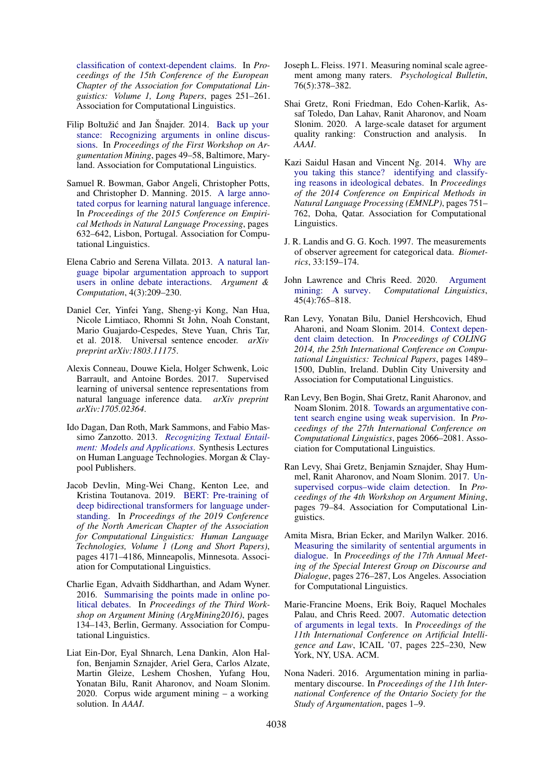[classification of context-dependent claims.](http://aclweb.org/anthology/E17-1024) In *Proceedings of the 15th Conference of the European Chapter of the Association for Computational Linguistics: Volume 1, Long Papers*, pages 251–261. Association for Computational Linguistics.

- <span id="page-9-6"></span>Filip Boltužić and Jan Šnajder. 2014. [Back up your](https://doi.org/10.3115/v1/W14-2107) [stance: Recognizing arguments in online discus](https://doi.org/10.3115/v1/W14-2107)[sions.](https://doi.org/10.3115/v1/W14-2107) In *Proceedings of the First Workshop on Argumentation Mining*, pages 49–58, Baltimore, Maryland. Association for Computational Linguistics.
- <span id="page-9-19"></span>Samuel R. Bowman, Gabor Angeli, Christopher Potts, and Christopher D. Manning. 2015. [A large anno](https://doi.org/10.18653/v1/D15-1075)[tated corpus for learning natural language inference.](https://doi.org/10.18653/v1/D15-1075) In *Proceedings of the 2015 Conference on Empirical Methods in Natural Language Processing*, pages 632–642, Lisbon, Portugal. Association for Computational Linguistics.
- <span id="page-9-13"></span>Elena Cabrio and Serena Villata. 2013. [A natural lan](https://doi.org/10.1080/19462166.2013.862303)[guage bipolar argumentation approach to support](https://doi.org/10.1080/19462166.2013.862303) [users in online debate interactions.](https://doi.org/10.1080/19462166.2013.862303) *Argument & Computation*, 4(3):209–230.
- <span id="page-9-17"></span>Daniel Cer, Yinfei Yang, Sheng-yi Kong, Nan Hua, Nicole Limtiaco, Rhomni St John, Noah Constant, Mario Guajardo-Cespedes, Steve Yuan, Chris Tar, et al. 2018. Universal sentence encoder. *arXiv preprint arXiv:1803.11175*.
- <span id="page-9-18"></span>Alexis Conneau, Douwe Kiela, Holger Schwenk, Loic Barrault, and Antoine Bordes. 2017. Supervised learning of universal sentence representations from natural language inference data. *arXiv preprint arXiv:1705.02364*.
- <span id="page-9-12"></span>Ido Dagan, Dan Roth, Mark Sammons, and Fabio Massimo Zanzotto. 2013. *[Recognizing Textual Entail](https://doi.org/10.2200/S00509ED1V01Y201305HLT023)[ment: Models and Applications](https://doi.org/10.2200/S00509ED1V01Y201305HLT023)*. Synthesis Lectures on Human Language Technologies. Morgan & Claypool Publishers.
- <span id="page-9-16"></span>Jacob Devlin, Ming-Wei Chang, Kenton Lee, and Kristina Toutanova. 2019. [BERT: Pre-training of](https://doi.org/10.18653/v1/N19-1423) [deep bidirectional transformers for language under](https://doi.org/10.18653/v1/N19-1423)[standing.](https://doi.org/10.18653/v1/N19-1423) In *Proceedings of the 2019 Conference of the North American Chapter of the Association for Computational Linguistics: Human Language Technologies, Volume 1 (Long and Short Papers)*, pages 4171–4186, Minneapolis, Minnesota. Association for Computational Linguistics.
- <span id="page-9-9"></span>Charlie Egan, Advaith Siddharthan, and Adam Wyner. 2016. [Summarising the points made in online po](https://doi.org/10.18653/v1/W16-2816)[litical debates.](https://doi.org/10.18653/v1/W16-2816) In *Proceedings of the Third Workshop on Argument Mining (ArgMining2016)*, pages 134–143, Berlin, Germany. Association for Computational Linguistics.
- <span id="page-9-3"></span>Liat Ein-Dor, Eyal Shnarch, Lena Dankin, Alon Halfon, Benjamin Sznajder, Ariel Gera, Carlos Alzate, Martin Gleize, Leshem Choshen, Yufang Hou, Yonatan Bilu, Ranit Aharonov, and Noam Slonim. 2020. Corpus wide argument mining – a working solution. In *AAAI*.
- <span id="page-9-15"></span>Joseph L. Fleiss. 1971. Measuring nominal scale agreement among many raters. *Psychological Bulletin*, 76(5):378–382.
- <span id="page-9-11"></span>Shai Gretz, Roni Friedman, Edo Cohen-Karlik, Assaf Toledo, Dan Lahav, Ranit Aharonov, and Noam Slonim. 2020. A large-scale dataset for argument quality ranking: Construction and analysis. *AAAI*.
- <span id="page-9-5"></span>Kazi Saidul Hasan and Vincent Ng. 2014. [Why are](https://doi.org/10.3115/v1/D14-1083) [you taking this stance? identifying and classify](https://doi.org/10.3115/v1/D14-1083)[ing reasons in ideological debates.](https://doi.org/10.3115/v1/D14-1083) In *Proceedings of the 2014 Conference on Empirical Methods in Natural Language Processing (EMNLP)*, pages 751– 762, Doha, Qatar. Association for Computational Linguistics.
- <span id="page-9-14"></span>J. R. Landis and G. G. Koch. 1997. The measurements of observer agreement for categorical data. *Biometrics*, 33:159–174.
- <span id="page-9-0"></span>John Lawrence and Chris Reed. 2020. [Argument](https://doi.org/10.1162/coli_a_00364) [mining: A survey.](https://doi.org/10.1162/coli_a_00364) *Computational Linguistics*, 45(4):765–818.
- <span id="page-9-8"></span>Ran Levy, Yonatan Bilu, Daniel Hershcovich, Ehud Aharoni, and Noam Slonim. 2014. [Context depen](https://www.aclweb.org/anthology/C14-1141)[dent claim detection.](https://www.aclweb.org/anthology/C14-1141) In *Proceedings of COLING 2014, the 25th International Conference on Computational Linguistics: Technical Papers*, pages 1489– 1500, Dublin, Ireland. Dublin City University and Association for Computational Linguistics.
- <span id="page-9-2"></span>Ran Levy, Ben Bogin, Shai Gretz, Ranit Aharonov, and Noam Slonim. 2018. [Towards an argumentative con](http://aclweb.org/anthology/C18-1176)[tent search engine using weak supervision.](http://aclweb.org/anthology/C18-1176) In *Proceedings of the 27th International Conference on Computational Linguistics*, pages 2066–2081. Association for Computational Linguistics.
- <span id="page-9-1"></span>Ran Levy, Shai Gretz, Benjamin Sznajder, Shay Hummel, Ranit Aharonov, and Noam Slonim. 2017. [Un](https://doi.org/10.18653/v1/W17-5110)[supervised corpus–wide claim detection.](https://doi.org/10.18653/v1/W17-5110) In *Proceedings of the 4th Workshop on Argument Mining*, pages 79–84. Association for Computational Linguistics.
- <span id="page-9-4"></span>Amita Misra, Brian Ecker, and Marilyn Walker. 2016. [Measuring the similarity of sentential arguments in](https://doi.org/10.18653/v1/W16-3636) [dialogue.](https://doi.org/10.18653/v1/W16-3636) In *Proceedings of the 17th Annual Meeting of the Special Interest Group on Discourse and Dialogue*, pages 276–287, Los Angeles. Association for Computational Linguistics.
- <span id="page-9-7"></span>Marie-Francine Moens, Erik Boiy, Raquel Mochales Palau, and Chris Reed. 2007. [Automatic detection](https://doi.org/10.1145/1276318.1276362) [of arguments in legal texts.](https://doi.org/10.1145/1276318.1276362) In *Proceedings of the 11th International Conference on Artificial Intelligence and Law*, ICAIL '07, pages 225–230, New York, NY, USA. ACM.
- <span id="page-9-10"></span>Nona Naderi. 2016. Argumentation mining in parliamentary discourse. In *Proceedings of the 11th International Conference of the Ontario Society for the Study of Argumentation*, pages 1–9.